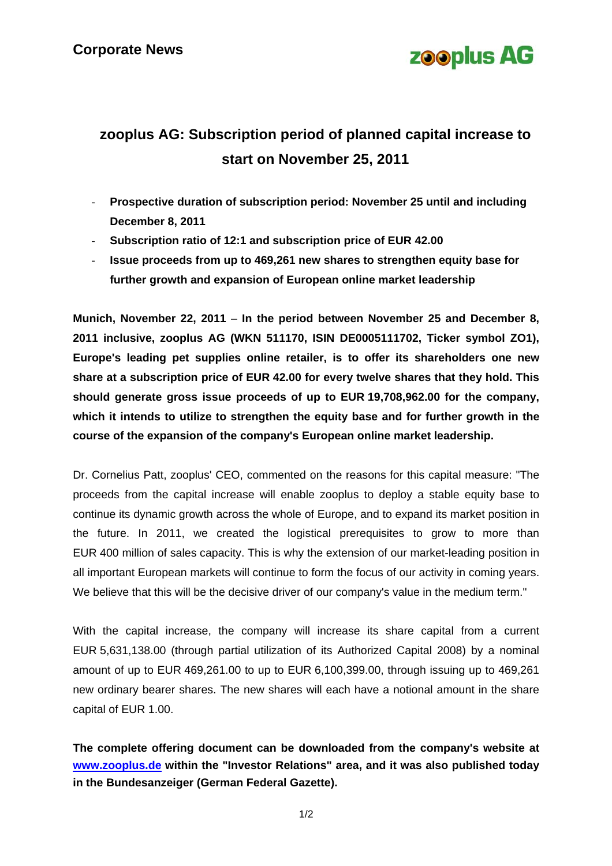

## **zooplus AG: Subscription period of planned capital increase to start on November 25, 2011**

- **Prospective duration of subscription period: November 25 until and including December 8, 2011**
- **Subscription ratio of 12:1 and subscription price of EUR 42.00**
- **Issue proceeds from up to 469,261 new shares to strengthen equity base for further growth and expansion of European online market leadership**

**Munich, November 22, 2011** – **In the period between November 25 and December 8, 2011 inclusive, zooplus AG (WKN 511170, ISIN DE0005111702, Ticker symbol ZO1), Europe's leading pet supplies online retailer, is to offer its shareholders one new share at a subscription price of EUR 42.00 for every twelve shares that they hold. This should generate gross issue proceeds of up to EUR 19,708,962.00 for the company, which it intends to utilize to strengthen the equity base and for further growth in the course of the expansion of the company's European online market leadership.** 

Dr. Cornelius Patt, zooplus' CEO, commented on the reasons for this capital measure: "The proceeds from the capital increase will enable zooplus to deploy a stable equity base to continue its dynamic growth across the whole of Europe, and to expand its market position in the future. In 2011, we created the logistical prerequisites to grow to more than EUR 400 million of sales capacity. This is why the extension of our market-leading position in all important European markets will continue to form the focus of our activity in coming years. We believe that this will be the decisive driver of our company's value in the medium term."

With the capital increase, the company will increase its share capital from a current EUR 5,631,138.00 (through partial utilization of its Authorized Capital 2008) by a nominal amount of up to EUR 469,261.00 to up to EUR 6,100,399.00, through issuing up to 469,261 new ordinary bearer shares. The new shares will each have a notional amount in the share capital of EUR 1.00.

**The complete offering document can be downloaded from the company's website at [www.zooplus.de](http://www.zooplus.de/) within the "Investor Relations" area, and it was also published today in the Bundesanzeiger (German Federal Gazette).**